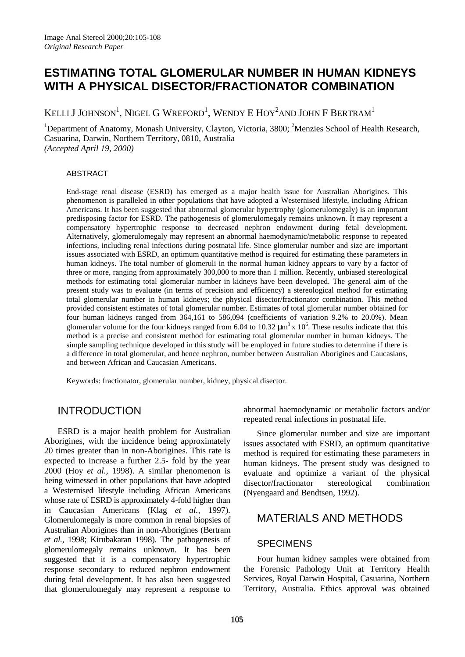# **ESTIMATING TOTAL GLOMERULAR NUMBER IN HUMAN KIDNEYS WITH A PHYSICAL DISECTOR/FRACTIONATOR COMBINATION**

KELLI J JOHNSON $^{\rm l}$ , Nigel G Wreford $^{\rm l}$ , Wendy E Hoy $^{\rm 2}$ and John F Bertram $^{\rm l}$ 

<sup>1</sup>Department of Anatomy, Monash University, Clayton, Victoria, 3800; <sup>2</sup>Menzies School of Health Research, Casuarina, Darwin, Northern Territory, 0810, Australia *(Accepted April 19, 2000)*

#### ABSTRACT

End-stage renal disease (ESRD) has emerged as a major health issue for Australian Aborigines. This phenomenon is paralleled in other populations that have adopted a Westernised lifestyle, including African Americans. It has been suggested that abnormal glomerular hypertrophy (glomerulomegaly) is an important predisposing factor for ESRD. The pathogenesis of glomerulomegaly remains unknown. It may represent a compensatory hypertrophic response to decreased nephron endowment during fetal development. Alternatively, glomerulomegaly may represent an abnormal haemodynamic/metabolic response to repeated infections, including renal infections during postnatal life. Since glomerular number and size are important issues associated with ESRD, an optimum quantitative method is required for estimating these parameters in human kidneys. The total number of glomeruli in the normal human kidney appears to vary by a factor of three or more, ranging from approximately 300,000 to more than 1 million. Recently, unbiased stereological methods for estimating total glomerular number in kidneys have been developed. The general aim of the present study was to evaluate (in terms of precision and efficiency) a stereological method for estimating total glomerular number in human kidneys; the physical disector/fractionator combination. This method provided consistent estimates of total glomerular number. Estimates of total glomerular number obtained for four human kidneys ranged from 364,161 to 586,094 (coefficients of variation 9.2% to 20.0%). Mean glomerular volume for the four kidneys ranged from 6.04 to 10.32  $\mu$ m<sup>3</sup> x 10<sup>6</sup>. These results indicate that this method is a precise and consistent method for estimating total glomerular number in human kidneys. The simple sampling technique developed in this study will be employed in future studies to determine if there is a difference in total glomerular, and hence nephron, number between Australian Aborigines and Caucasians, and between African and Caucasian Americans.

Keywords: fractionator, glomerular number, kidney, physical disector.

## INTRODUCTION

ESRD is a major health problem for Australian Aborigines, with the incidence being approximately 20 times greater than in non-Aborigines. This rate is expected to increase a further 2.5- fold by the year 2000 (Hoy *et al.,* 1998). A similar phenomenon is being witnessed in other populations that have adopted a Westernised lifestyle including African Americans whose rate of ESRD is approximately 4-fold higher than in Caucasian Americans (Klag *et al.,* 1997). Glomerulomegaly is more common in renal biopsies of Australian Aborigines than in non-Aborigines (Bertram *et al.,* 1998; Kirubakaran 1998). The pathogenesis of glomerulomegaly remains unknown. It has been suggested that it is a compensatory hypertrophic response secondary to reduced nephron endowment during fetal development. It has also been suggested that glomerulomegaly may represent a response to

abnormal haemodynamic or metabolic factors and/or repeated renal infections in postnatal life.

Since glomerular number and size are important issues associated with ESRD, an optimum quantitative method is required for estimating these parameters in human kidneys. The present study was designed to evaluate and optimize a variant of the physical disector/fractionator stereological combination (Nyengaard and Bendtsen, 1992).

## MATERIALS AND METHODS

### **SPECIMENS**

Four human kidney samples were obtained from the Forensic Pathology Unit at Territory Health Services, Royal Darwin Hospital, Casuarina, Northern Territory, Australia. Ethics approval was obtained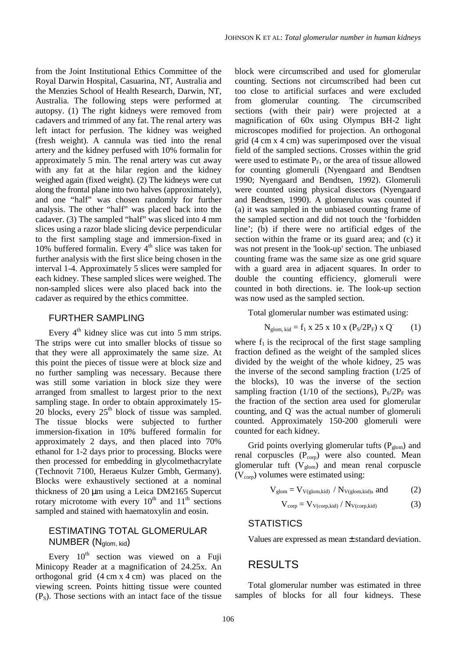from the Joint Institutional Ethics Committee of the Royal Darwin Hospital, Casuarina, NT, Australia and the Menzies School of Health Research, Darwin, NT, Australia*.* The following steps were performed at autopsy. (1) The right kidneys were removed from cadavers and trimmed of any fat. The renal artery was left intact for perfusion. The kidney was weighed (fresh weight). A cannula was tied into the renal artery and the kidney perfused with 10% formalin for approximately 5 min. The renal artery was cut away with any fat at the hilar region and the kidney weighed again (fixed weight). (2) The kidneys were cut along the frontal plane into two halves (approximately), and one "half" was chosen randomly for further analysis. The other "half" was placed back into the cadaver. (3) The sampled "half" was sliced into 4 mm slices using a razor blade slicing device perpendicular to the first sampling stage and immersion-fixed in 10% buffered formalin. Every  $4<sup>th</sup>$  slice was taken for further analysis with the first slice being chosen in the interval 1-4. Approximately 5 slices were sampled for each kidney. These sampled slices were weighed. The non-sampled slices were also placed back into the cadaver as required by the ethics committee.

### FURTHER SAMPLING

Every  $4<sup>th</sup>$  kidney slice was cut into 5 mm strips. The strips were cut into smaller blocks of tissue so that they were all approximately the same size. At this point the pieces of tissue were at block size and no further sampling was necessary. Because there was still some variation in block size they were arranged from smallest to largest prior to the next sampling stage. In order to obtain approximately 15- 20 blocks, every  $25<sup>th</sup>$  block of tissue was sampled. The tissue blocks were subjected to further immersion-fixation in 10% buffered formalin for approximately 2 days, and then placed into 70% ethanol for 1-2 days prior to processing. Blocks were then processed for embedding in glycolmethacrylate (Technovit 7100, Heraeus Kulzer Gmbh, Germany). Blocks were exhaustively sectioned at a nominal thickness of 20 µm using a Leica DM2165 Supercut rotary microtome with every  $10^{th}$  and  $11^{th}$  sections sampled and stained with haematoxylin and eosin.

## ESTIMATING TOTAL GLOMERULAR NUMBER (Nglom, kid)

Every  $10^{th}$  section was viewed on a Fuji Minicopy Reader at a magnification of 24.25x. An orthogonal grid (4 cm x 4 cm) was placed on the viewing screen. Points hitting tissue were counted  $(P<sub>s</sub>)$ . Those sections with an intact face of the tissue block were circumscribed and used for glomerular counting. Sections not circumscribed had been cut too close to artificial surfaces and were excluded from glomerular counting. The circumscribed sections (with their pair) were projected at a magnification of 60x using Olympus BH-2 light microscopes modified for projection. An orthogonal grid (4 cm x 4 cm) was superimposed over the visual field of the sampled sections. Crosses within the grid were used to estimate  $P_F$ , or the area of tissue allowed for counting glomeruli (Nyengaard and Bendtsen 1990; Nyengaard and Bendtsen, 1992). Glomeruli were counted using physical disectors (Nyengaard and Bendtsen, 1990). A glomerulus was counted if (a) it was sampled in the unbiased counting frame of the sampled section and did not touch the 'forbidden line'; (b) if there were no artificial edges of the section within the frame or its guard area; and (c) it was not present in the 'look-up' section. The unbiased counting frame was the same size as one grid square with a guard area in adjacent squares. In order to double the counting efficiency, glomeruli were counted in both directions. ie. The look-up section was now used as the sampled section.

Total glomerular number was estimated using:

$$
N_{\text{glom, kid}} = f_1 \times 25 \times 10 \times (P_S/2P_F) \times Q \tag{1}
$$

where  $f_1$  is the reciprocal of the first stage sampling fraction defined as the weight of the sampled slices divided by the weight of the whole kidney, 25 was the inverse of the second sampling fraction (1/25 of the blocks), 10 was the inverse of the section sampling fraction (1/10 of the sections),  $P_S/2P_F$  was the fraction of the section area used for glomerular counting, and  $Q$  was the actual number of glomeruli counted. Approximately 150-200 glomeruli were counted for each kidney.

Grid points overlying glomerular tufts  $(P_{\text{glom}})$  and renal corpuscles  $(P_{\text{cop}})$  were also counted. Mean glomerular tuft  $(V_{\text{glom}})$  and mean renal corpuscle  $(V_{\rm corp})$  volumes were estimated using:

$$
V_{\text{glom}} = V_{V(\text{glom},\text{kid})} / N_{V(\text{glom},\text{kid})}, \text{ and}
$$
 (2)

$$
V_{\text{corp}} = V_{V(\text{corp}, \text{kid})} / N_{V(\text{corp}, \text{kid})}
$$
 (3)

#### **STATISTICS**

Values are expressed as mean ± standard deviation.

## RESULTS

Total glomerular number was estimated in three samples of blocks for all four kidneys. These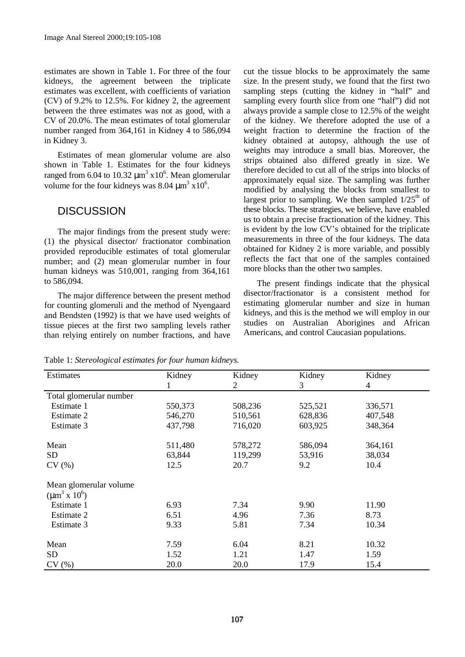estimates are shown in Table 1. For three of the four kidneys, the agreement between the triplicate estimates was excellent, with coefficients of variation (CV) of 9.2% to 12.5%. For kidney 2, the agreement between the three estimates was not as good, with a CV of 20.0%. The mean estimates of total glomerular number ranged from 364,161 in Kidney 4 to 586,094 in Kidney 3.

Estimates of mean glomerular volume are also shown in Table 1. Estimates for the four kidneys ranged from 6.04 to 10.32  $\mu$ m<sup>3</sup> x10<sup>6</sup>. Mean glomerular volume for the four kidneys was  $8.04 \mu m^3 \times 10^6$ .

## **DISCUSSION**

The major findings from the present study were: (1) the physical disector/ fractionator combination provided reproducible estimates of total glomerular number; and (2) mean glomerular number in four human kidneys was 510,001, ranging from 364,161 to 586,094.

The major difference between the present method for counting glomeruli and the method of Nyengaard and Bendsten (1992) is that we have used weights of tissue pieces at the first two sampling levels rather than relying entirely on number fractions, and have cut the tissue blocks to be approximately the same size. In the present study, we found that the first two sampling steps (cutting the kidney in "half" and sampling every fourth slice from one "half") did not always provide a sample close to 12.5% of the weight of the kidney. We therefore adopted the use of a weight fraction to determine the fraction of the kidney obtained at autopsy, although the use of weights may introduce a small bias. Moreover, the strips obtained also differed greatly in size. We therefore decided to cut all of the strips into blocks of approximately equal size. The sampling was further modified by analysing the blocks from smallest to largest prior to sampling. We then sampled  $1/25<sup>th</sup>$  of these blocks. These strategies, we believe, have enabled us to obtain a precise fractionation of the kidney. This is evident by the low CV's obtained for the triplicate measurements in three of the four kidneys. The data obtained for Kidney 2 is more variable, and possibly reflects the fact that one of the samples contained more blocks than the other two samples.

The present findings indicate that the physical disector/fractionator is a consistent method for estimating glomerular number and size in human kidneys, and this is the method we will employ in our studies on Australian Aborigines and African Americans, and control Caucasian populations.

Table 1: *Stereological estimates for four human kidneys.*

| <b>Estimates</b>        | Kidney  | Kidney  | Kidney  | Kidney  |
|-------------------------|---------|---------|---------|---------|
|                         |         | 2       | 3       | 4       |
| Total glomerular number |         |         |         |         |
| Estimate 1              | 550,373 | 508,236 | 525,521 | 336,571 |
| Estimate 2              | 546,270 | 510,561 | 628,836 | 407,548 |
| Estimate 3              | 437,798 | 716,020 | 603,925 | 348,364 |
| Mean                    | 511,480 | 578,272 | 586,094 | 364,161 |
| <b>SD</b>               | 63,844  | 119,299 | 53,916  | 38,034  |
| CV(%)                   | 12.5    | 20.7    | 9.2     | 10.4    |
| Mean glomerular volume  |         |         |         |         |
| $(\mu m^3 \times 10^6)$ |         |         |         |         |
| Estimate 1              | 6.93    | 7.34    | 9.90    | 11.90   |
| Estimate 2              | 6.51    | 4.96    | 7.36    | 8.73    |
| Estimate 3              | 9.33    | 5.81    | 7.34    | 10.34   |
| Mean                    | 7.59    | 6.04    | 8.21    | 10.32   |
| <b>SD</b>               | 1.52    | 1.21    | 1.47    | 1.59    |
| CV(%)                   | 20.0    | 20.0    | 17.9    | 15.4    |